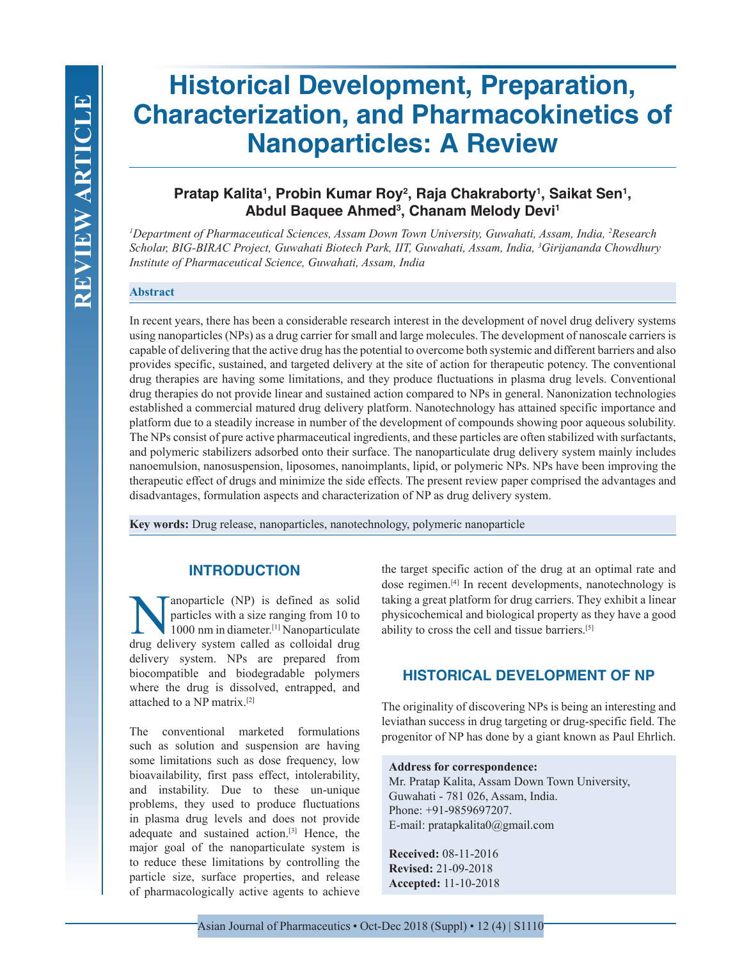# **Historical Development, Preparation, Characterization, and Pharmacokinetics of Nanoparticles: A Review**

# Pratap Kalita<sup>1</sup>, Probin Kumar Roy<sup>2</sup>, Raja Chakraborty<sup>1</sup>, Saikat Sen<sup>1</sup>, **Abdul Baquee Ahmed3 , Chanam Melody Devi1**

*1 Department of Pharmaceutical Sciences, Assam Down Town University, Guwahati, Assam, India, 2 Research Scholar, BIG-BIRAC Project, Guwahati Biotech Park, IIT, Guwahati, Assam, India, 3 Girijananda Chowdhury Institute of Pharmaceutical Science, Guwahati, Assam, India*

#### **Abstract**

In recent years, there has been a considerable research interest in the development of novel drug delivery systems using nanoparticles (NPs) as a drug carrier for small and large molecules. The development of nanoscale carriers is capable of delivering that the active drug has the potential to overcome both systemic and different barriers and also provides specific, sustained, and targeted delivery at the site of action for therapeutic potency. The conventional drug therapies are having some limitations, and they produce fluctuations in plasma drug levels. Conventional drug therapies do not provide linear and sustained action compared to NPs in general. Nanonization technologies established a commercial matured drug delivery platform. Nanotechnology has attained specific importance and platform due to a steadily increase in number of the development of compounds showing poor aqueous solubility. The NPs consist of pure active pharmaceutical ingredients, and these particles are often stabilized with surfactants, and polymeric stabilizers adsorbed onto their surface. The nanoparticulate drug delivery system mainly includes nanoemulsion, nanosuspension, liposomes, nanoimplants, lipid, or polymeric NPs. NPs have been improving the therapeutic effect of drugs and minimize the side effects. The present review paper comprised the advantages and disadvantages, formulation aspects and characterization of NP as drug delivery system.

**Key words:** Drug release, nanoparticles, nanotechnology, polymeric nanoparticle

## **INTRODUCTION**

anoparticle (NP) is defined as solid particles with a size ranging from 10 to 1000 nm in diameter.[1] Nanoparticulate drug delivery system called as colloidal drug delivery system. NPs are prepared from biocompatible and biodegradable polymers where the drug is dissolved, entrapped, and attached to a NP matrix.[2]

The conventional marketed formulations such as solution and suspension are having some limitations such as dose frequency, low bioavailability, first pass effect, intolerability, and instability. Due to these un-unique problems, they used to produce fluctuations in plasma drug levels and does not provide adequate and sustained action.[3] Hence, the major goal of the nanoparticulate system is to reduce these limitations by controlling the particle size, surface properties, and release of pharmacologically active agents to achieve

the target specific action of the drug at an optimal rate and dose regimen.[4] In recent developments, nanotechnology is taking a great platform for drug carriers. They exhibit a linear physicochemical and biological property as they have a good ability to cross the cell and tissue barriers.[5]

## **HISTORICAL DEVELOPMENT OF NP**

The originality of discovering NPs is being an interesting and leviathan success in drug targeting or drug-specific field. The progenitor of NP has done by a giant known as Paul Ehrlich.

#### **Address for correspondence:**

Mr. Pratap Kalita, Assam Down Town University, Guwahati - 781 026, Assam, India. Phone: +91-9859697207. E-mail: pratapkalita0@gmail.com

**Received:** 08-11-2016 **Revised:** 21-09-2018 **Accepted:** 11-10-2018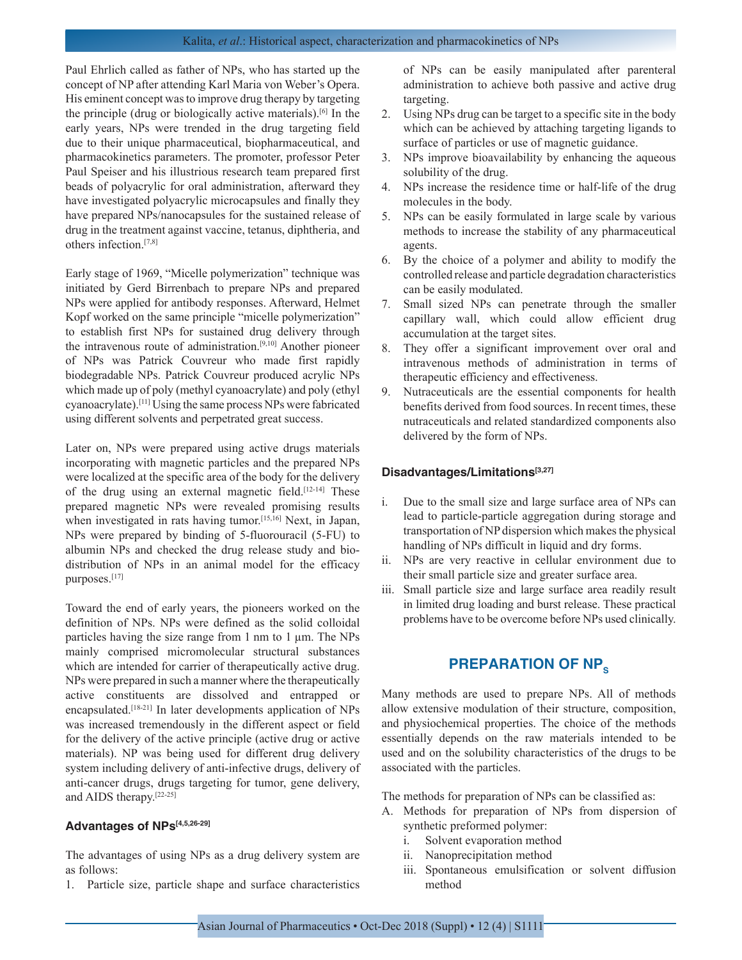Paul Ehrlich called as father of NPs, who has started up the concept of NP after attending Karl Maria von Weber's Opera. His eminent concept was to improve drug therapy by targeting the principle (drug or biologically active materials).[6] In the early years, NPs were trended in the drug targeting field due to their unique pharmaceutical, biopharmaceutical, and pharmacokinetics parameters. The promoter, professor Peter Paul Speiser and his illustrious research team prepared first beads of polyacrylic for oral administration, afterward they have investigated polyacrylic microcapsules and finally they have prepared NPs/nanocapsules for the sustained release of drug in the treatment against vaccine, tetanus, diphtheria, and others infection.[7,8]

Early stage of 1969, "Micelle polymerization" technique was initiated by Gerd Birrenbach to prepare NPs and prepared NPs were applied for antibody responses. Afterward, Helmet Kopf worked on the same principle "micelle polymerization" to establish first NPs for sustained drug delivery through the intravenous route of administration.[9,10] Another pioneer of NPs was Patrick Couvreur who made first rapidly biodegradable NPs. Patrick Couvreur produced acrylic NPs which made up of poly (methyl cyanoacrylate) and poly (ethyl cyanoacrylate).[11] Using the same process NPs were fabricated using different solvents and perpetrated great success.

Later on, NPs were prepared using active drugs materials incorporating with magnetic particles and the prepared NPs were localized at the specific area of the body for the delivery of the drug using an external magnetic field.[12-14] These prepared magnetic NPs were revealed promising results when investigated in rats having tumor.<sup>[15,16]</sup> Next, in Japan, NPs were prepared by binding of 5-fluorouracil (5-FU) to albumin NPs and checked the drug release study and biodistribution of NPs in an animal model for the efficacy purposes.[17]

Toward the end of early years, the pioneers worked on the definition of NPs. NPs were defined as the solid colloidal particles having the size range from 1 nm to 1 µm. The NPs mainly comprised micromolecular structural substances which are intended for carrier of therapeutically active drug. NPs were prepared in such a manner where the therapeutically active constituents are dissolved and entrapped or encapsulated.[18-21] In later developments application of NPs was increased tremendously in the different aspect or field for the delivery of the active principle (active drug or active materials). NP was being used for different drug delivery system including delivery of anti-infective drugs, delivery of anti-cancer drugs, drugs targeting for tumor, gene delivery, and AIDS therapy.[22-25]

#### **Advantages of NPs[4,5,26-29]**

The advantages of using NPs as a drug delivery system are as follows:

1. Particle size, particle shape and surface characteristics

of NPs can be easily manipulated after parenteral administration to achieve both passive and active drug targeting.

- 2. Using NPs drug can be target to a specific site in the body which can be achieved by attaching targeting ligands to surface of particles or use of magnetic guidance.
- 3. NPs improve bioavailability by enhancing the aqueous solubility of the drug.
- 4. NPs increase the residence time or half-life of the drug molecules in the body.
- 5. NPs can be easily formulated in large scale by various methods to increase the stability of any pharmaceutical agents.
- 6. By the choice of a polymer and ability to modify the controlled release and particle degradation characteristics can be easily modulated.
- 7. Small sized NPs can penetrate through the smaller capillary wall, which could allow efficient drug accumulation at the target sites.
- 8. They offer a significant improvement over oral and intravenous methods of administration in terms of therapeutic efficiency and effectiveness.
- 9. Nutraceuticals are the essential components for health benefits derived from food sources. In recent times, these nutraceuticals and related standardized components also delivered by the form of NPs.

#### **Disadvantages/Limitations[3,27]**

- i. Due to the small size and large surface area of NPs can lead to particle-particle aggregation during storage and transportation of NP dispersion which makes the physical handling of NPs difficult in liquid and dry forms.
- ii. NPs are very reactive in cellular environment due to their small particle size and greater surface area.
- iii. Small particle size and large surface area readily result in limited drug loading and burst release. These practical problems have to be overcome before NPs used clinically.

# **PREPARATION OF NP<sub>s</sub>**

Many methods are used to prepare NPs. All of methods allow extensive modulation of their structure, composition, and physiochemical properties. The choice of the methods essentially depends on the raw materials intended to be used and on the solubility characteristics of the drugs to be associated with the particles.

The methods for preparation of NPs can be classified as:

- A. Methods for preparation of NPs from dispersion of synthetic preformed polymer:
	- i. Solvent evaporation method
	- ii. Nanoprecipitation method
	- iii. Spontaneous emulsification or solvent diffusion method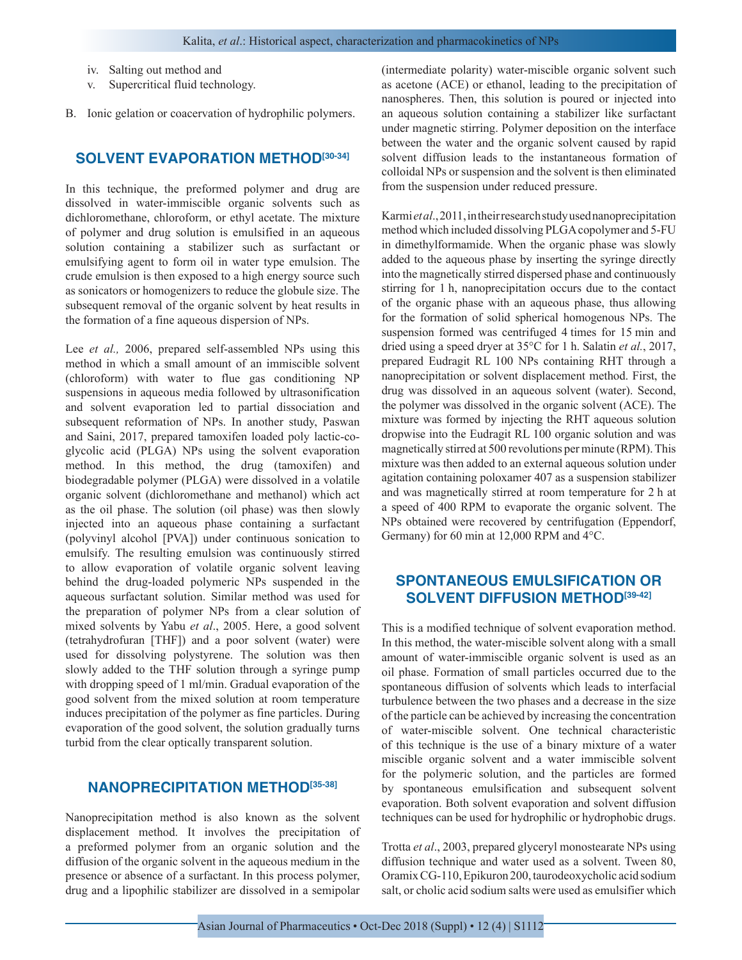iv. Salting out method and

- v. Supercritical fluid technology.
- B. Ionic gelation or coacervation of hydrophilic polymers.

## **SOLVENT EVAPORATION METHOD[30-34]**

In this technique, the preformed polymer and drug are dissolved in water-immiscible organic solvents such as dichloromethane, chloroform, or ethyl acetate. The mixture of polymer and drug solution is emulsified in an aqueous solution containing a stabilizer such as surfactant or emulsifying agent to form oil in water type emulsion. The crude emulsion is then exposed to a high energy source such as sonicators or homogenizers to reduce the globule size. The subsequent removal of the organic solvent by heat results in the formation of a fine aqueous dispersion of NPs.

Lee *et al.*, 2006, prepared self-assembled NPs using this method in which a small amount of an immiscible solvent (chloroform) with water to flue gas conditioning NP suspensions in aqueous media followed by ultrasonification and solvent evaporation led to partial dissociation and subsequent reformation of NPs. In another study, Paswan and Saini, 2017, prepared tamoxifen loaded poly lactic-coglycolic acid (PLGA) NPs using the solvent evaporation method. In this method, the drug (tamoxifen) and biodegradable polymer (PLGA) were dissolved in a volatile organic solvent (dichloromethane and methanol) which act as the oil phase. The solution (oil phase) was then slowly injected into an aqueous phase containing a surfactant (polyvinyl alcohol [PVA]) under continuous sonication to emulsify. The resulting emulsion was continuously stirred to allow evaporation of volatile organic solvent leaving behind the drug-loaded polymeric NPs suspended in the aqueous surfactant solution. Similar method was used for the preparation of polymer NPs from a clear solution of mixed solvents by Yabu *et al*., 2005. Here, a good solvent (tetrahydrofuran [THF]) and a poor solvent (water) were used for dissolving polystyrene. The solution was then slowly added to the THF solution through a syringe pump with dropping speed of 1 ml/min. Gradual evaporation of the good solvent from the mixed solution at room temperature induces precipitation of the polymer as fine particles. During evaporation of the good solvent, the solution gradually turns turbid from the clear optically transparent solution.

## **NANOPRECIPITATION METHOD[35-38]**

Nanoprecipitation method is also known as the solvent displacement method. It involves the precipitation of a preformed polymer from an organic solution and the diffusion of the organic solvent in the aqueous medium in the presence or absence of a surfactant. In this process polymer, drug and a lipophilic stabilizer are dissolved in a semipolar

(intermediate polarity) water-miscible organic solvent such as acetone (ACE) or ethanol, leading to the precipitation of nanospheres. Then, this solution is poured or injected into an aqueous solution containing a stabilizer like surfactant under magnetic stirring. Polymer deposition on the interface between the water and the organic solvent caused by rapid solvent diffusion leads to the instantaneous formation of colloidal NPs or suspension and the solvent is then eliminated from the suspension under reduced pressure.

Karmi *et al*., 2011, in their research study used nanoprecipitation method which included dissolving PLGA copolymer and 5-FU in dimethylformamide. When the organic phase was slowly added to the aqueous phase by inserting the syringe directly into the magnetically stirred dispersed phase and continuously stirring for 1 h, nanoprecipitation occurs due to the contact of the organic phase with an aqueous phase, thus allowing for the formation of solid spherical homogenous NPs. The suspension formed was centrifuged 4 times for 15 min and dried using a speed dryer at 35°C for 1 h. Salatin *et al.*, 2017, prepared Eudragit RL 100 NPs containing RHT through a nanoprecipitation or solvent displacement method. First, the drug was dissolved in an aqueous solvent (water). Second, the polymer was dissolved in the organic solvent (ACE). The mixture was formed by injecting the RHT aqueous solution dropwise into the Eudragit RL 100 organic solution and was magnetically stirred at 500 revolutions per minute (RPM). This mixture was then added to an external aqueous solution under agitation containing poloxamer 407 as a suspension stabilizer and was magnetically stirred at room temperature for 2 h at a speed of 400 RPM to evaporate the organic solvent. The NPs obtained were recovered by centrifugation (Eppendorf, Germany) for 60 min at 12,000 RPM and 4°C.

# **SPONTANEOUS EMULSIFICATION OR SOLVENT DIFFUSION METHOD[39-42]**

This is a modified technique of solvent evaporation method. In this method, the water-miscible solvent along with a small amount of water-immiscible organic solvent is used as an oil phase. Formation of small particles occurred due to the spontaneous diffusion of solvents which leads to interfacial turbulence between the two phases and a decrease in the size of the particle can be achieved by increasing the concentration of water-miscible solvent. One technical characteristic of this technique is the use of a binary mixture of a water miscible organic solvent and a water immiscible solvent for the polymeric solution, and the particles are formed by spontaneous emulsification and subsequent solvent evaporation. Both solvent evaporation and solvent diffusion techniques can be used for hydrophilic or hydrophobic drugs.

Trotta *et al*., 2003, prepared glyceryl monostearate NPs using diffusion technique and water used as a solvent. Tween 80, Oramix CG-110, Epikuron 200, taurodeoxycholic acid sodium salt, or cholic acid sodium salts were used as emulsifier which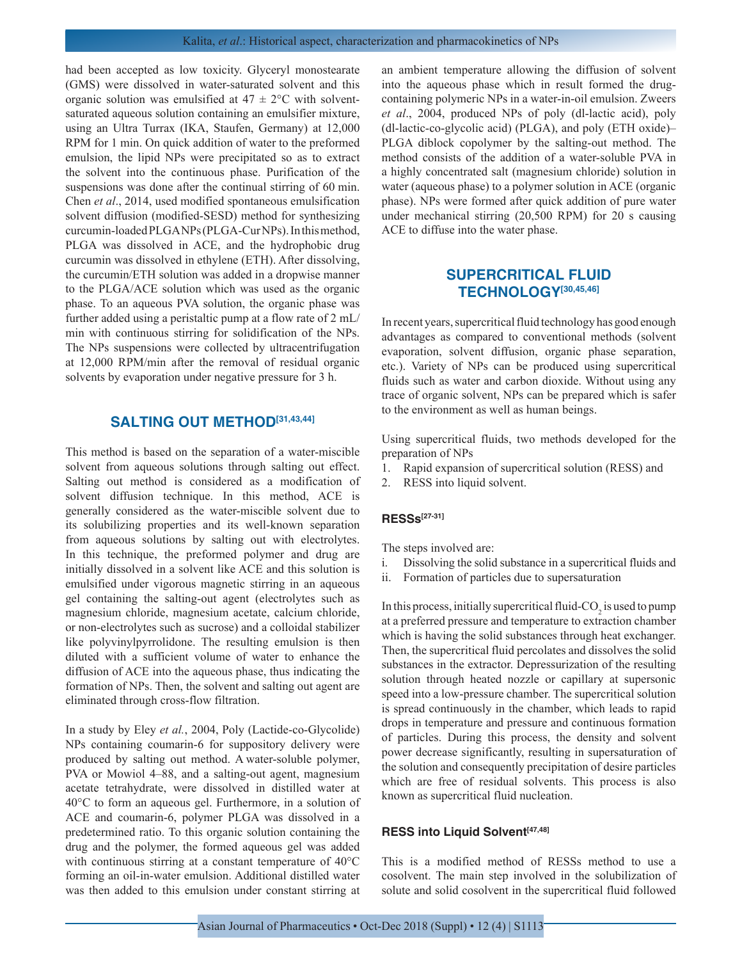had been accepted as low toxicity. Glyceryl monostearate (GMS) were dissolved in water-saturated solvent and this organic solution was emulsified at  $47 \pm 2$ °C with solventsaturated aqueous solution containing an emulsifier mixture, using an Ultra Turrax (IKA, Staufen, Germany) at 12,000 RPM for 1 min. On quick addition of water to the preformed emulsion, the lipid NPs were precipitated so as to extract the solvent into the continuous phase. Purification of the suspensions was done after the continual stirring of 60 min. Chen *et al*., 2014, used modified spontaneous emulsification solvent diffusion (modified-SESD) method for synthesizing curcumin-loaded PLGA NPs (PLGA-Cur NPs). In this method, PLGA was dissolved in ACE, and the hydrophobic drug curcumin was dissolved in ethylene (ETH). After dissolving, the curcumin/ETH solution was added in a dropwise manner to the PLGA/ACE solution which was used as the organic phase. To an aqueous PVA solution, the organic phase was further added using a peristaltic pump at a flow rate of 2 mL/ min with continuous stirring for solidification of the NPs. The NPs suspensions were collected by ultracentrifugation at 12,000 RPM/min after the removal of residual organic solvents by evaporation under negative pressure for 3 h.

#### **SALTING OUT METHOD[31,43,44]**

This method is based on the separation of a water-miscible solvent from aqueous solutions through salting out effect. Salting out method is considered as a modification of solvent diffusion technique. In this method, ACE is generally considered as the water-miscible solvent due to its solubilizing properties and its well-known separation from aqueous solutions by salting out with electrolytes. In this technique, the preformed polymer and drug are initially dissolved in a solvent like ACE and this solution is emulsified under vigorous magnetic stirring in an aqueous gel containing the salting-out agent (electrolytes such as magnesium chloride, magnesium acetate, calcium chloride, or non-electrolytes such as sucrose) and a colloidal stabilizer like polyvinylpyrrolidone. The resulting emulsion is then diluted with a sufficient volume of water to enhance the diffusion of ACE into the aqueous phase, thus indicating the formation of NPs. Then, the solvent and salting out agent are eliminated through cross-flow filtration.

In a study by Eley *et al.*, 2004, Poly (Lactide-co-Glycolide) NPs containing coumarin-6 for suppository delivery were produced by salting out method. A water-soluble polymer, PVA or Mowiol 4–88, and a salting-out agent, magnesium acetate tetrahydrate, were dissolved in distilled water at 40°C to form an aqueous gel. Furthermore, in a solution of ACE and coumarin-6, polymer PLGA was dissolved in a predetermined ratio. To this organic solution containing the drug and the polymer, the formed aqueous gel was added with continuous stirring at a constant temperature of 40°C forming an oil-in-water emulsion. Additional distilled water was then added to this emulsion under constant stirring at an ambient temperature allowing the diffusion of solvent into the aqueous phase which in result formed the drugcontaining polymeric NPs in a water-in-oil emulsion. Zweers *et al*., 2004, produced NPs of poly (dl-lactic acid), poly (dl-lactic-co-glycolic acid) (PLGA), and poly (ETH oxide)– PLGA diblock copolymer by the salting-out method. The method consists of the addition of a water-soluble PVA in a highly concentrated salt (magnesium chloride) solution in water (aqueous phase) to a polymer solution in ACE (organic phase). NPs were formed after quick addition of pure water under mechanical stirring (20,500 RPM) for 20 s causing ACE to diffuse into the water phase.

## **SUPERCRITICAL FLUID TECHNOLOGY[30,45,46]**

In recent years, supercritical fluid technology has good enough advantages as compared to conventional methods (solvent evaporation, solvent diffusion, organic phase separation, etc.). Variety of NPs can be produced using supercritical fluids such as water and carbon dioxide. Without using any trace of organic solvent, NPs can be prepared which is safer to the environment as well as human beings.

Using supercritical fluids, two methods developed for the preparation of NPs

- 1. Rapid expansion of supercritical solution (RESS) and
- 2. RESS into liquid solvent.

#### **RESSs[27-31]**

The steps involved are:

- i. Dissolving the solid substance in a supercritical fluids and
- ii. Formation of particles due to supersaturation

In this process, initially supercritical fluid-CO<sub>2</sub> is used to pump at a preferred pressure and temperature to extraction chamber which is having the solid substances through heat exchanger. Then, the supercritical fluid percolates and dissolves the solid substances in the extractor. Depressurization of the resulting solution through heated nozzle or capillary at supersonic speed into a low-pressure chamber. The supercritical solution is spread continuously in the chamber, which leads to rapid drops in temperature and pressure and continuous formation of particles. During this process, the density and solvent power decrease significantly, resulting in supersaturation of the solution and consequently precipitation of desire particles which are free of residual solvents. This process is also known as supercritical fluid nucleation.

#### **RESS into Liquid Solvent[47,48]**

This is a modified method of RESSs method to use a cosolvent. The main step involved in the solubilization of solute and solid cosolvent in the supercritical fluid followed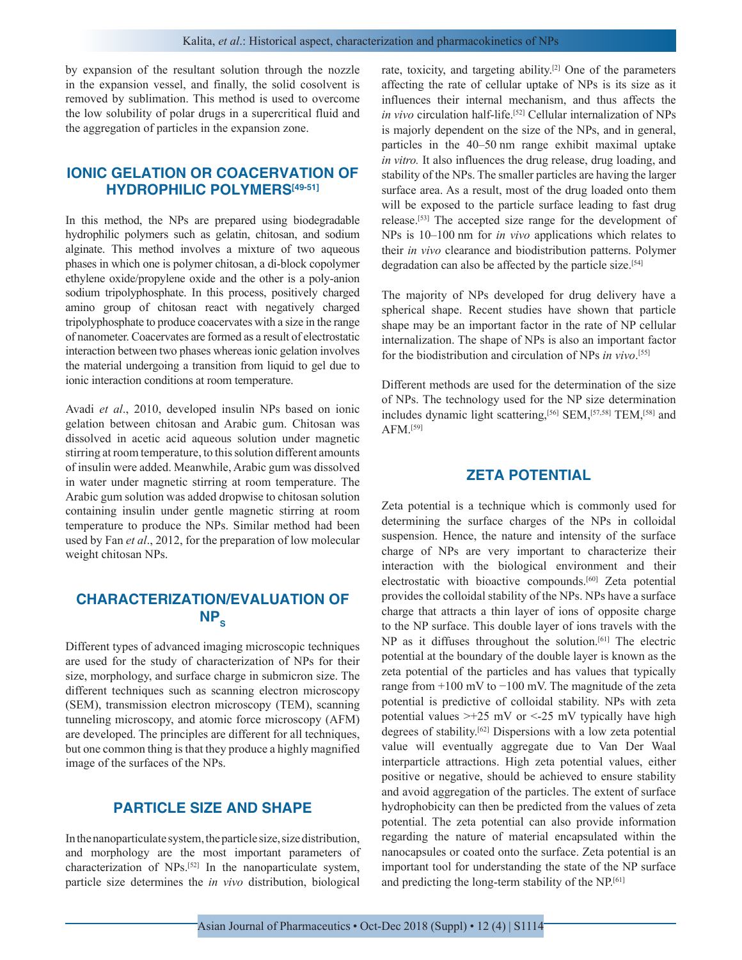by expansion of the resultant solution through the nozzle in the expansion vessel, and finally, the solid cosolvent is removed by sublimation. This method is used to overcome the low solubility of polar drugs in a supercritical fluid and the aggregation of particles in the expansion zone.

# **IONIC GELATION OR COACERVATION OF HYDROPHILIC POLYMERS[49-51]**

In this method, the NPs are prepared using biodegradable hydrophilic polymers such as gelatin, chitosan, and sodium alginate. This method involves a mixture of two aqueous phases in which one is polymer chitosan, a di-block copolymer ethylene oxide/propylene oxide and the other is a poly-anion sodium tripolyphosphate. In this process, positively charged amino group of chitosan react with negatively charged tripolyphosphate to produce coacervates with a size in the range of nanometer. Coacervates are formed as a result of electrostatic interaction between two phases whereas ionic gelation involves the material undergoing a transition from liquid to gel due to ionic interaction conditions at room temperature.

Avadi *et al*., 2010, developed insulin NPs based on ionic gelation between chitosan and Arabic gum. Chitosan was dissolved in acetic acid aqueous solution under magnetic stirring at room temperature, to this solution different amounts of insulin were added. Meanwhile, Arabic gum was dissolved in water under magnetic stirring at room temperature. The Arabic gum solution was added dropwise to chitosan solution containing insulin under gentle magnetic stirring at room temperature to produce the NPs. Similar method had been used by Fan *et al*., 2012, for the preparation of low molecular weight chitosan NPs.

# **CHARACTERIZATION/EVALUATION OF**   $NP<sub>s</sub>$

Different types of advanced imaging microscopic techniques are used for the study of characterization of NPs for their size, morphology, and surface charge in submicron size. The different techniques such as scanning electron microscopy (SEM), transmission electron microscopy (TEM), scanning tunneling microscopy, and atomic force microscopy (AFM) are developed. The principles are different for all techniques, but one common thing is that they produce a highly magnified image of the surfaces of the NPs.

## **PARTICLE SIZE AND SHAPE**

In the nanoparticulate system, the particle size, size distribution, and morphology are the most important parameters of characterization of NPs.[52] In the nanoparticulate system, particle size determines the *in vivo* distribution, biological rate, toxicity, and targeting ability.[2] One of the parameters affecting the rate of cellular uptake of NPs is its size as it influences their internal mechanism, and thus affects the *in vivo* circulation half-life.<sup>[52]</sup> Cellular internalization of NPs is majorly dependent on the size of the NPs, and in general, particles in the 40–50 nm range exhibit maximal uptake *in vitro.* It also influences the drug release, drug loading, and stability of the NPs. The smaller particles are having the larger surface area. As a result, most of the drug loaded onto them will be exposed to the particle surface leading to fast drug release.[53] The accepted size range for the development of NPs is 10–100 nm for *in vivo* applications which relates to their *in vivo* clearance and biodistribution patterns. Polymer degradation can also be affected by the particle size.<sup>[54]</sup>

The majority of NPs developed for drug delivery have a spherical shape. Recent studies have shown that particle shape may be an important factor in the rate of NP cellular internalization. The shape of NPs is also an important factor for the biodistribution and circulation of NPs *in vivo*. [55]

Different methods are used for the determination of the size of NPs. The technology used for the NP size determination includes dynamic light scattering,[56] SEM,[57,58] TEM,[58] and AFM.[59]

## **ZETA POTENTIAL**

Zeta potential is a technique which is commonly used for determining the surface charges of the NPs in colloidal suspension. Hence, the nature and intensity of the surface charge of NPs are very important to characterize their interaction with the biological environment and their electrostatic with bioactive compounds.[60] Zeta potential provides the colloidal stability of the NPs. NPs have a surface charge that attracts a thin layer of ions of opposite charge to the NP surface. This double layer of ions travels with the NP as it diffuses throughout the solution.<sup>[61]</sup> The electric potential at the boundary of the double layer is known as the zeta potential of the particles and has values that typically range from +100 mV to −100 mV. The magnitude of the zeta potential is predictive of colloidal stability. NPs with zeta potential values  $\geq +25$  mV or  $\leq -25$  mV typically have high degrees of stability.[62] Dispersions with a low zeta potential value will eventually aggregate due to Van Der Waal interparticle attractions. High zeta potential values, either positive or negative, should be achieved to ensure stability and avoid aggregation of the particles. The extent of surface hydrophobicity can then be predicted from the values of zeta potential. The zeta potential can also provide information regarding the nature of material encapsulated within the nanocapsules or coated onto the surface. Zeta potential is an important tool for understanding the state of the NP surface and predicting the long-term stability of the NP.[61]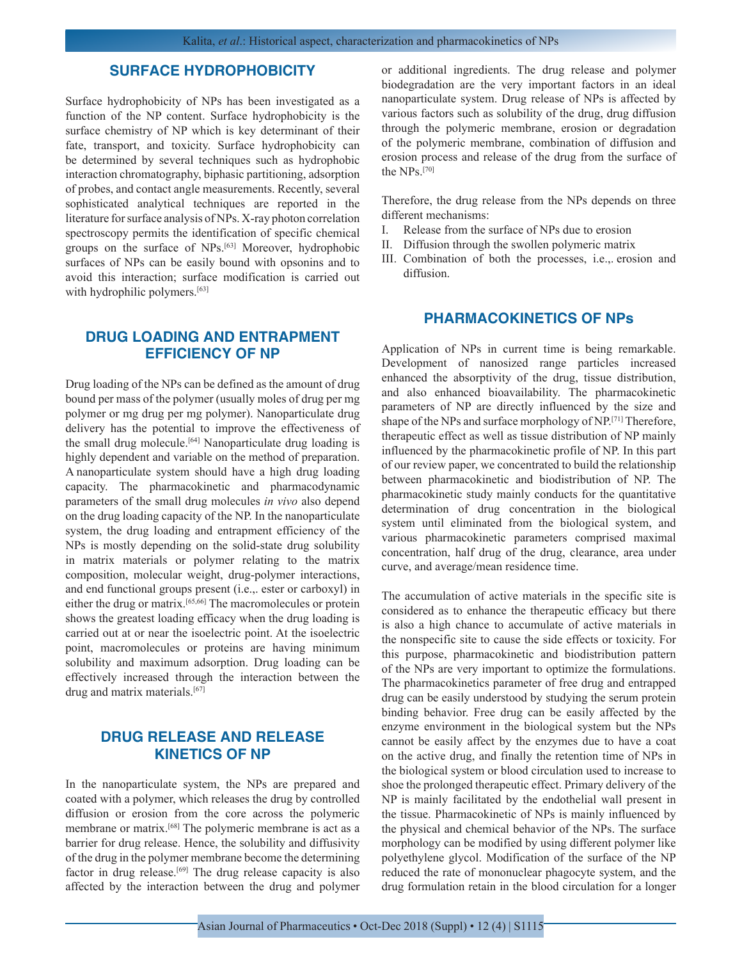## **SURFACE HYDROPHOBICITY**

Surface hydrophobicity of NPs has been investigated as a function of the NP content. Surface hydrophobicity is the surface chemistry of NP which is key determinant of their fate, transport, and toxicity. Surface hydrophobicity can be determined by several techniques such as hydrophobic interaction chromatography, biphasic partitioning, adsorption of probes, and contact angle measurements. Recently, several sophisticated analytical techniques are reported in the literature for surface analysis of NPs. X-ray photon correlation spectroscopy permits the identification of specific chemical groups on the surface of NPs.[63] Moreover, hydrophobic surfaces of NPs can be easily bound with opsonins and to avoid this interaction; surface modification is carried out with hydrophilic polymers.<sup>[63]</sup>

## **DRUG LOADING AND ENTRAPMENT EFFICIENCY OF NP**

Drug loading of the NPs can be defined as the amount of drug bound per mass of the polymer (usually moles of drug per mg polymer or mg drug per mg polymer). Nanoparticulate drug delivery has the potential to improve the effectiveness of the small drug molecule.<sup>[64]</sup> Nanoparticulate drug loading is highly dependent and variable on the method of preparation. A nanoparticulate system should have a high drug loading capacity. The pharmacokinetic and pharmacodynamic parameters of the small drug molecules *in vivo* also depend on the drug loading capacity of the NP. In the nanoparticulate system, the drug loading and entrapment efficiency of the NPs is mostly depending on the solid-state drug solubility in matrix materials or polymer relating to the matrix composition, molecular weight, drug-polymer interactions, and end functional groups present (i.e.,. ester or carboxyl) in either the drug or matrix.[65,66] The macromolecules or protein shows the greatest loading efficacy when the drug loading is carried out at or near the isoelectric point. At the isoelectric point, macromolecules or proteins are having minimum solubility and maximum adsorption. Drug loading can be effectively increased through the interaction between the drug and matrix materials.[67]

## **DRUG RELEASE AND RELEASE KINETICS OF NP**

In the nanoparticulate system, the NPs are prepared and coated with a polymer, which releases the drug by controlled diffusion or erosion from the core across the polymeric membrane or matrix.[68] The polymeric membrane is act as a barrier for drug release. Hence, the solubility and diffusivity of the drug in the polymer membrane become the determining factor in drug release.<sup>[69]</sup> The drug release capacity is also affected by the interaction between the drug and polymer or additional ingredients. The drug release and polymer biodegradation are the very important factors in an ideal nanoparticulate system. Drug release of NPs is affected by various factors such as solubility of the drug, drug diffusion through the polymeric membrane, erosion or degradation of the polymeric membrane, combination of diffusion and erosion process and release of the drug from the surface of the NPs.[70]

Therefore, the drug release from the NPs depends on three different mechanisms:

- I. Release from the surface of NPs due to erosion
- II. Diffusion through the swollen polymeric matrix
- III. Combination of both the processes, i.e.,. erosion and diffusion.

### **PHARMACOKINETICS OF NPs**

Application of NPs in current time is being remarkable. Development of nanosized range particles increased enhanced the absorptivity of the drug, tissue distribution, and also enhanced bioavailability. The pharmacokinetic parameters of NP are directly influenced by the size and shape of the NPs and surface morphology of NP.[71] Therefore, therapeutic effect as well as tissue distribution of NP mainly influenced by the pharmacokinetic profile of NP. In this part of our review paper, we concentrated to build the relationship between pharmacokinetic and biodistribution of NP. The pharmacokinetic study mainly conducts for the quantitative determination of drug concentration in the biological system until eliminated from the biological system, and various pharmacokinetic parameters comprised maximal concentration, half drug of the drug, clearance, area under curve, and average/mean residence time.

The accumulation of active materials in the specific site is considered as to enhance the therapeutic efficacy but there is also a high chance to accumulate of active materials in the nonspecific site to cause the side effects or toxicity. For this purpose, pharmacokinetic and biodistribution pattern of the NPs are very important to optimize the formulations. The pharmacokinetics parameter of free drug and entrapped drug can be easily understood by studying the serum protein binding behavior. Free drug can be easily affected by the enzyme environment in the biological system but the NPs cannot be easily affect by the enzymes due to have a coat on the active drug, and finally the retention time of NPs in the biological system or blood circulation used to increase to shoe the prolonged therapeutic effect. Primary delivery of the NP is mainly facilitated by the endothelial wall present in the tissue. Pharmacokinetic of NPs is mainly influenced by the physical and chemical behavior of the NPs. The surface morphology can be modified by using different polymer like polyethylene glycol. Modification of the surface of the NP reduced the rate of mononuclear phagocyte system, and the drug formulation retain in the blood circulation for a longer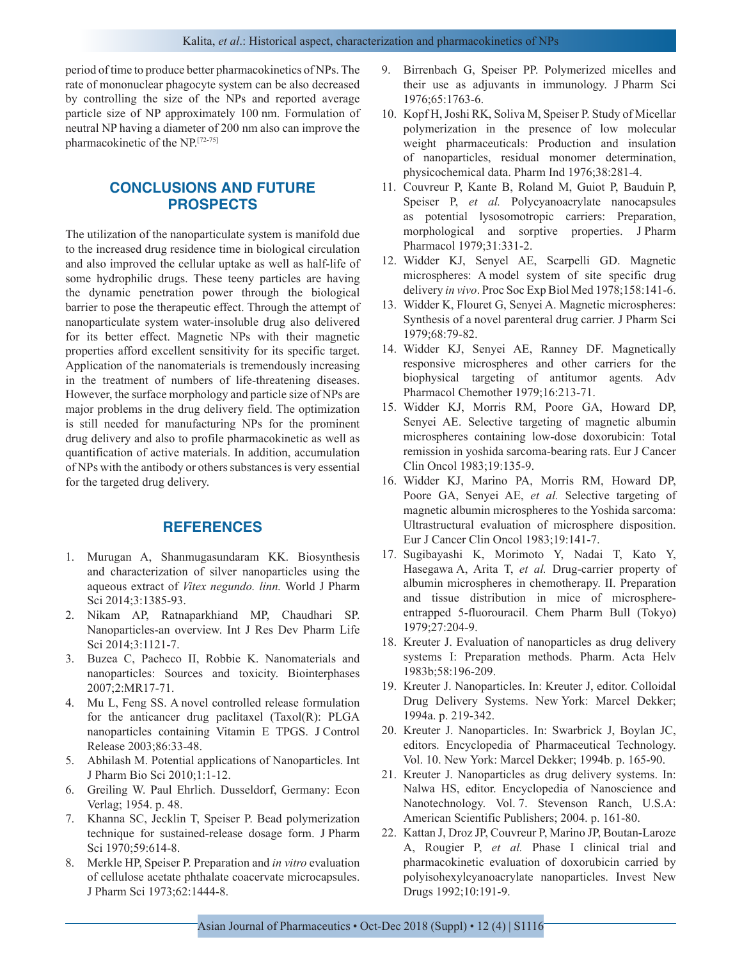period of time to produce better pharmacokinetics of NPs. The rate of mononuclear phagocyte system can be also decreased by controlling the size of the NPs and reported average particle size of NP approximately 100 nm. Formulation of neutral NP having a diameter of 200 nm also can improve the pharmacokinetic of the NP.[72-75]

# **CONCLUSIONS AND FUTURE PROSPECTS**

The utilization of the nanoparticulate system is manifold due to the increased drug residence time in biological circulation and also improved the cellular uptake as well as half-life of some hydrophilic drugs. These teeny particles are having the dynamic penetration power through the biological barrier to pose the therapeutic effect. Through the attempt of nanoparticulate system water-insoluble drug also delivered for its better effect. Magnetic NPs with their magnetic properties afford excellent sensitivity for its specific target. Application of the nanomaterials is tremendously increasing in the treatment of numbers of life-threatening diseases. However, the surface morphology and particle size of NPs are major problems in the drug delivery field. The optimization is still needed for manufacturing NPs for the prominent drug delivery and also to profile pharmacokinetic as well as quantification of active materials. In addition, accumulation of NPs with the antibody or others substances is very essential for the targeted drug delivery.

## **REFERENCES**

- 1. Murugan A, Shanmugasundaram KK. Biosynthesis and characterization of silver nanoparticles using the aqueous extract of *Vitex negundo. linn.* World J Pharm Sci 2014;3:1385-93.
- 2. Nikam AP, Ratnaparkhiand MP, Chaudhari SP. Nanoparticles-an overview. Int J Res Dev Pharm Life Sci 2014;3:1121-7.
- 3. Buzea C, Pacheco II, Robbie K. Nanomaterials and nanoparticles: Sources and toxicity. Biointerphases 2007;2:MR17-71.
- 4. Mu L, Feng SS. A novel controlled release formulation for the anticancer drug paclitaxel (Taxol(R): PLGA nanoparticles containing Vitamin E TPGS. J Control Release 2003;86:33-48.
- 5. Abhilash M. Potential applications of Nanoparticles. Int J Pharm Bio Sci 2010;1:1-12.
- 6. Greiling W. Paul Ehrlich. Dusseldorf, Germany: Econ Verlag; 1954. p. 48.
- 7. Khanna SC, Jecklin T, Speiser P. Bead polymerization technique for sustained-release dosage form. J Pharm Sci 1970;59:614-8.
- 8. Merkle HP, Speiser P. Preparation and *in vitro* evaluation of cellulose acetate phthalate coacervate microcapsules. J Pharm Sci 1973;62:1444-8.
- 9. Birrenbach G, Speiser PP. Polymerized micelles and their use as adjuvants in immunology. J Pharm Sci 1976;65:1763-6.
- 10. Kopf H, Joshi RK, Soliva M, Speiser P. Study of Micellar polymerization in the presence of low molecular weight pharmaceuticals: Production and insulation of nanoparticles, residual monomer determination, physicochemical data. Pharm Ind 1976;38:281-4.
- 11. Couvreur P, Kante B, Roland M, Guiot P, Bauduin P, Speiser P, *et al.* Polycyanoacrylate nanocapsules as potential lysosomotropic carriers: Preparation, morphological and sorptive properties. J Pharm Pharmacol 1979;31:331-2.
- 12. Widder KJ, Senyel AE, Scarpelli GD. Magnetic microspheres: A model system of site specific drug delivery *in vivo*. Proc Soc Exp Biol Med 1978;158:141-6.
- 13. Widder K, Flouret G, Senyei A. Magnetic microspheres: Synthesis of a novel parenteral drug carrier. J Pharm Sci 1979;68:79-82.
- 14. Widder KJ, Senyei AE, Ranney DF. Magnetically responsive microspheres and other carriers for the biophysical targeting of antitumor agents. Adv Pharmacol Chemother 1979;16:213-71.
- 15. Widder KJ, Morris RM, Poore GA, Howard DP, Senyei AE. Selective targeting of magnetic albumin microspheres containing low-dose doxorubicin: Total remission in yoshida sarcoma-bearing rats. Eur J Cancer Clin Oncol 1983;19:135-9.
- 16. Widder KJ, Marino PA, Morris RM, Howard DP, Poore GA, Senyei AE, *et al.* Selective targeting of magnetic albumin microspheres to the Yoshida sarcoma: Ultrastructural evaluation of microsphere disposition. Eur J Cancer Clin Oncol 1983;19:141-7.
- 17. Sugibayashi K, Morimoto Y, Nadai T, Kato Y, Hasegawa A, Arita T, *et al.* Drug-carrier property of albumin microspheres in chemotherapy. II. Preparation and tissue distribution in mice of microsphereentrapped 5-fluorouracil. Chem Pharm Bull (Tokyo) 1979;27:204-9.
- 18. Kreuter J. Evaluation of nanoparticles as drug delivery systems I: Preparation methods. Pharm. Acta Helv 1983b;58:196-209.
- 19. Kreuter J. Nanoparticles. In: Kreuter J, editor. Colloidal Drug Delivery Systems. New York: Marcel Dekker; 1994a. p. 219-342.
- 20. Kreuter J. Nanoparticles. In: Swarbrick J, Boylan JC, editors. Encyclopedia of Pharmaceutical Technology. Vol. 10. New York: Marcel Dekker; 1994b. p. 165-90.
- 21. Kreuter J. Nanoparticles as drug delivery systems. In: Nalwa HS, editor. Encyclopedia of Nanoscience and Nanotechnology. Vol. 7. Stevenson Ranch, U.S.A: American Scientific Publishers; 2004. p. 161-80.
- 22. Kattan J, Droz JP, Couvreur P, Marino JP, Boutan-Laroze A, Rougier P, *et al.* Phase I clinical trial and pharmacokinetic evaluation of doxorubicin carried by polyisohexylcyanoacrylate nanoparticles. Invest New Drugs 1992;10:191-9.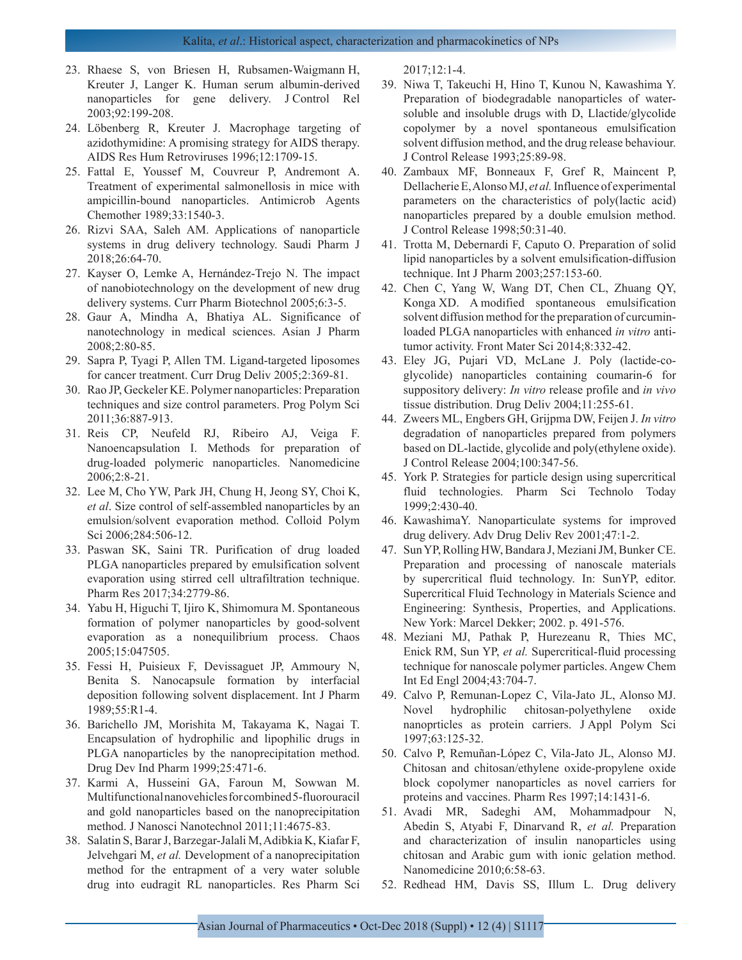- 23. Rhaese S, von Briesen H, Rubsamen-Waigmann H, Kreuter J, Langer K. Human serum albumin-derived nanoparticles for gene delivery. J Control Rel 2003;92:199-208.
- 24. Löbenberg R, Kreuter J. Macrophage targeting of azidothymidine: A promising strategy for AIDS therapy. AIDS Res Hum Retroviruses 1996;12:1709-15.
- 25. Fattal E, Youssef M, Couvreur P, Andremont A. Treatment of experimental salmonellosis in mice with ampicillin-bound nanoparticles. Antimicrob Agents Chemother 1989;33:1540-3.
- 26. Rizvi SAA, Saleh AM. Applications of nanoparticle systems in drug delivery technology. Saudi Pharm J 2018;26:64-70.
- 27. Kayser O, Lemke A, Hernández-Trejo N. The impact of nanobiotechnology on the development of new drug delivery systems. Curr Pharm Biotechnol 2005;6:3-5.
- 28. Gaur A, Mindha A, Bhatiya AL. Significance of nanotechnology in medical sciences. Asian J Pharm 2008;2:80-85.
- 29. Sapra P, Tyagi P, Allen TM. Ligand-targeted liposomes for cancer treatment. Curr Drug Deliv 2005;2:369-81.
- 30. Rao JP, Geckeler KE. Polymer nanoparticles: Preparation techniques and size control parameters. Prog Polym Sci 2011;36:887-913.
- 31. Reis CP, Neufeld RJ, Ribeiro AJ, Veiga F. Nanoencapsulation I. Methods for preparation of drug-loaded polymeric nanoparticles. Nanomedicine 2006;2:8-21.
- 32. Lee M, Cho YW, Park JH, Chung H, Jeong SY, Choi K, *et al*. Size control of self-assembled nanoparticles by an emulsion/solvent evaporation method. Colloid Polym Sci 2006;284:506-12.
- 33. Paswan SK, Saini TR. Purification of drug loaded PLGA nanoparticles prepared by emulsification solvent evaporation using stirred cell ultrafiltration technique. Pharm Res 2017;34:2779-86.
- 34. Yabu H, Higuchi T, Ijiro K, Shimomura M. Spontaneous formation of polymer nanoparticles by good-solvent evaporation as a nonequilibrium process. Chaos 2005;15:047505.
- 35. Fessi H, Puisieux F, Devissaguet JP, Ammoury N, Benita S. Nanocapsule formation by interfacial deposition following solvent displacement. Int J Pharm 1989;55:R1-4.
- 36. Barichello JM, Morishita M, Takayama K, Nagai T. Encapsulation of hydrophilic and lipophilic drugs in PLGA nanoparticles by the nanoprecipitation method. Drug Dev Ind Pharm 1999;25:471-6.
- 37. Karmi A, Husseini GA, Faroun M, Sowwan M. Multifunctional nanovehicles for combined 5-fluorouracil and gold nanoparticles based on the nanoprecipitation method. J Nanosci Nanotechnol 2011;11:4675-83.
- 38. Salatin S, Barar J, Barzegar-Jalali M, Adibkia K, Kiafar F, Jelvehgari M, *et al.* Development of a nanoprecipitation method for the entrapment of a very water soluble drug into eudragit RL nanoparticles. Res Pharm Sci

2017;12:1-4.

- 39. Niwa T, Takeuchi H, Hino T, Kunou N, Kawashima Y. Preparation of biodegradable nanoparticles of watersoluble and insoluble drugs with D, Llactide/glycolide copolymer by a novel spontaneous emulsification solvent diffusion method, and the drug release behaviour. J Control Release 1993;25:89-98.
- 40. Zambaux MF, Bonneaux F, Gref R, Maincent P, Dellacherie E, Alonso MJ, *et al.* Influence of experimental parameters on the characteristics of poly(lactic acid) nanoparticles prepared by a double emulsion method. J Control Release 1998;50:31-40.
- 41. Trotta M, Debernardi F, Caputo O. Preparation of solid lipid nanoparticles by a solvent emulsification-diffusion technique. Int J Pharm 2003;257:153-60.
- 42. Chen C, Yang W, Wang DT, Chen CL, Zhuang QY, Konga XD. A modified spontaneous emulsification solvent diffusion method for the preparation of curcuminloaded PLGA nanoparticles with enhanced *in vitro* antitumor activity. Front Mater Sci 2014;8:332-42.
- 43. Eley JG, Pujari VD, McLane J. Poly (lactide-coglycolide) nanoparticles containing coumarin-6 for suppository delivery: *In vitro* release profile and *in vivo* tissue distribution. Drug Deliv 2004;11:255-61.
- 44. Zweers ML, Engbers GH, Grijpma DW, Feijen J. *In vitro* degradation of nanoparticles prepared from polymers based on DL-lactide, glycolide and poly(ethylene oxide). J Control Release 2004;100:347-56.
- 45. York P. Strategies for particle design using supercritical fluid technologies. Pharm Sci Technolo Today 1999;2:430-40.
- 46. KawashimaY. Nanoparticulate systems for improved drug delivery. Adv Drug Deliv Rev 2001;47:1-2.
- 47. Sun YP, Rolling HW, Bandara J, Meziani JM, Bunker CE. Preparation and processing of nanoscale materials by supercritical fluid technology. In: SunYP, editor. Supercritical Fluid Technology in Materials Science and Engineering: Synthesis, Properties, and Applications. New York: Marcel Dekker; 2002. p. 491-576.
- 48. Meziani MJ, Pathak P, Hurezeanu R, Thies MC, Enick RM, Sun YP, *et al.* Supercritical-fluid processing technique for nanoscale polymer particles. Angew Chem Int Ed Engl 2004;43:704-7.
- 49. Calvo P, Remunan-Lopez C, Vila-Jato JL, Alonso MJ. Novel hydrophilic chitosan-polyethylene oxide nanoprticles as protein carriers. J Appl Polym Sci 1997;63:125-32.
- 50. Calvo P, Remuñan-López C, Vila-Jato JL, Alonso MJ. Chitosan and chitosan/ethylene oxide-propylene oxide block copolymer nanoparticles as novel carriers for proteins and vaccines. Pharm Res 1997;14:1431-6.
- 51. Avadi MR, Sadeghi AM, Mohammadpour N, Abedin S, Atyabi F, Dinarvand R, *et al.* Preparation and characterization of insulin nanoparticles using chitosan and Arabic gum with ionic gelation method. Nanomedicine 2010;6:58-63.
- 52. Redhead HM, Davis SS, Illum L. Drug delivery